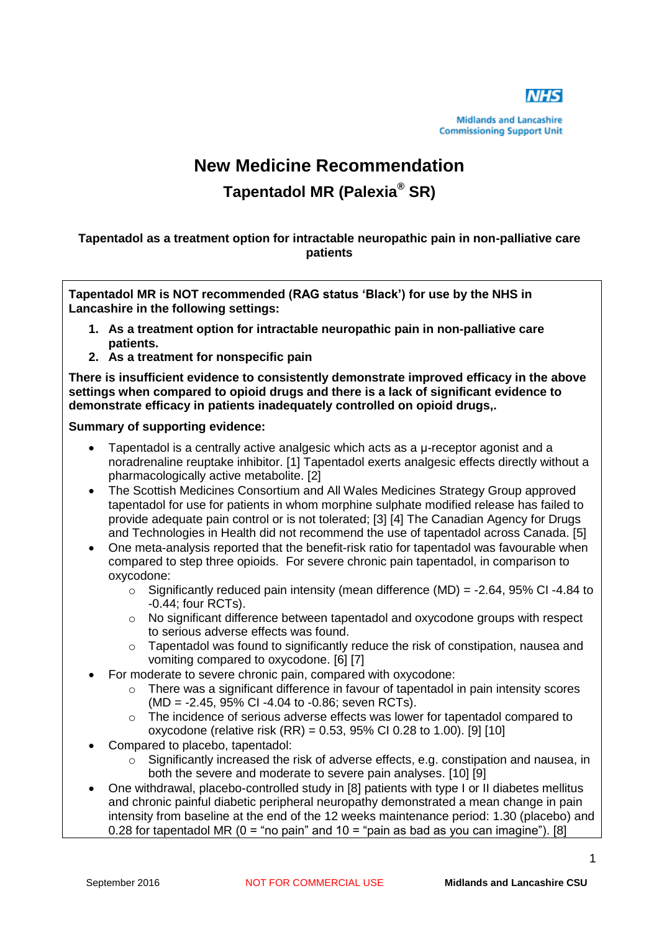

**Midlands and Lancashire Commissioning Support Unit** 

# **New Medicine Recommendation Tapentadol MR (Palexia® SR)**

**Tapentadol as a treatment option for intractable neuropathic pain in non-palliative care patients**

**Tapentadol MR is NOT recommended (RAG status 'Black') for use by the NHS in Lancashire in the following settings:**

- **1. As a treatment option for intractable neuropathic pain in non-palliative care patients.**
- **2. As a treatment for nonspecific pain**

**There is insufficient evidence to consistently demonstrate improved efficacy in the above settings when compared to opioid drugs and there is a lack of significant evidence to demonstrate efficacy in patients inadequately controlled on opioid drugs,.**

#### **Summary of supporting evidence:**

- Tapentadol is a centrally active analgesic which acts as a μ-receptor agonist and a noradrenaline reuptake inhibitor. [1] Tapentadol exerts analgesic effects directly without a pharmacologically active metabolite. [2]
- The Scottish Medicines Consortium and All Wales Medicines Strategy Group approved tapentadol for use for patients in whom morphine sulphate modified release has failed to provide adequate pain control or is not tolerated; [3] [4] The Canadian Agency for Drugs and Technologies in Health did not recommend the use of tapentadol across Canada. [5]
- One meta-analysis reported that the benefit-risk ratio for tapentadol was favourable when compared to step three opioids. For severe chronic pain tapentadol, in comparison to oxycodone:
	- $\circ$  Significantly reduced pain intensity (mean difference (MD) = -2.64, 95% CI -4.84 to -0.44; four RCTs).
	- o No significant difference between tapentadol and oxycodone groups with respect to serious adverse effects was found.
	- $\circ$  Tapentadol was found to significantly reduce the risk of constipation, nausea and vomiting compared to oxycodone. [6] [7]
- For moderate to severe chronic pain, compared with oxycodone:
	- o There was a significant difference in favour of tapentadol in pain intensity scores (MD = -2.45, 95% CI -4.04 to -0.86; seven RCTs).
	- $\circ$  The incidence of serious adverse effects was lower for tapentadol compared to oxycodone (relative risk (RR) = 0.53, 95% CI 0.28 to 1.00). [9] [10]
- Compared to placebo, tapentadol:
	- $\circ$  Significantly increased the risk of adverse effects, e.g. constipation and nausea, in both the severe and moderate to severe pain analyses. [10] [9]
- One withdrawal, placebo-controlled study in [8] patients with type I or II diabetes mellitus and chronic painful diabetic peripheral neuropathy demonstrated a mean change in pain intensity from baseline at the end of the 12 weeks maintenance period: 1.30 (placebo) and 0.28 for tapentadol MR ( $0 =$  "no pain" and  $10 =$  "pain as bad as you can imagine"). [8]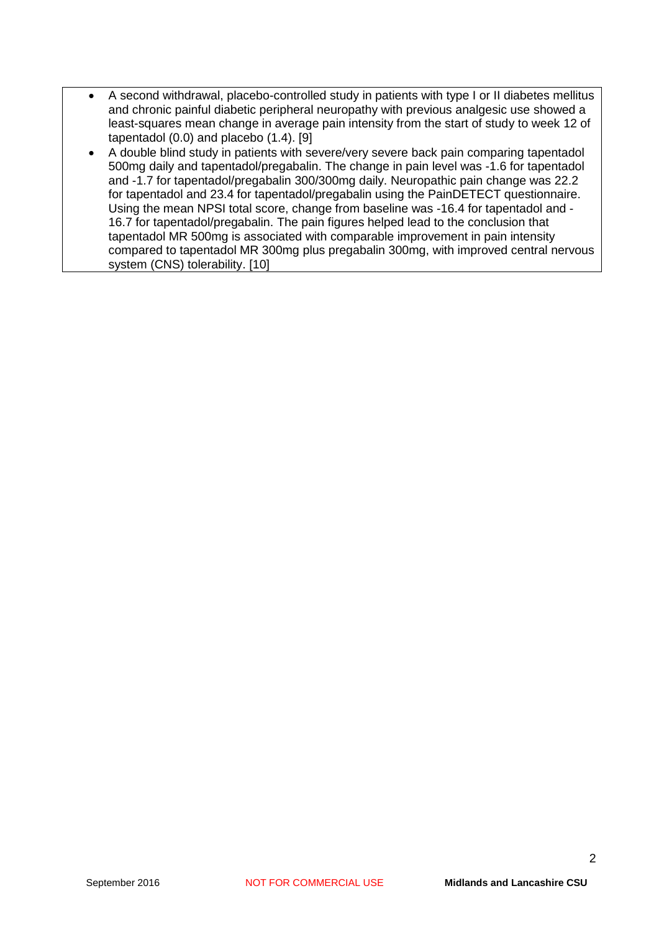- A second withdrawal, placebo-controlled study in patients with type I or II diabetes mellitus and chronic painful diabetic peripheral neuropathy with previous analgesic use showed a least-squares mean change in average pain intensity from the start of study to week 12 of tapentadol (0.0) and placebo (1.4). [9]
- A double blind study in patients with severe/very severe back pain comparing tapentadol 500mg daily and tapentadol/pregabalin. The change in pain level was -1.6 for tapentadol and -1.7 for tapentadol/pregabalin 300/300mg daily. Neuropathic pain change was 22.2 for tapentadol and 23.4 for tapentadol/pregabalin using the PainDETECT questionnaire. Using the mean NPSI total score, change from baseline was -16.4 for tapentadol and - 16.7 for tapentadol/pregabalin. The pain figures helped lead to the conclusion that tapentadol MR 500mg is associated with comparable improvement in pain intensity compared to tapentadol MR 300mg plus pregabalin 300mg, with improved central nervous system (CNS) tolerability. [10]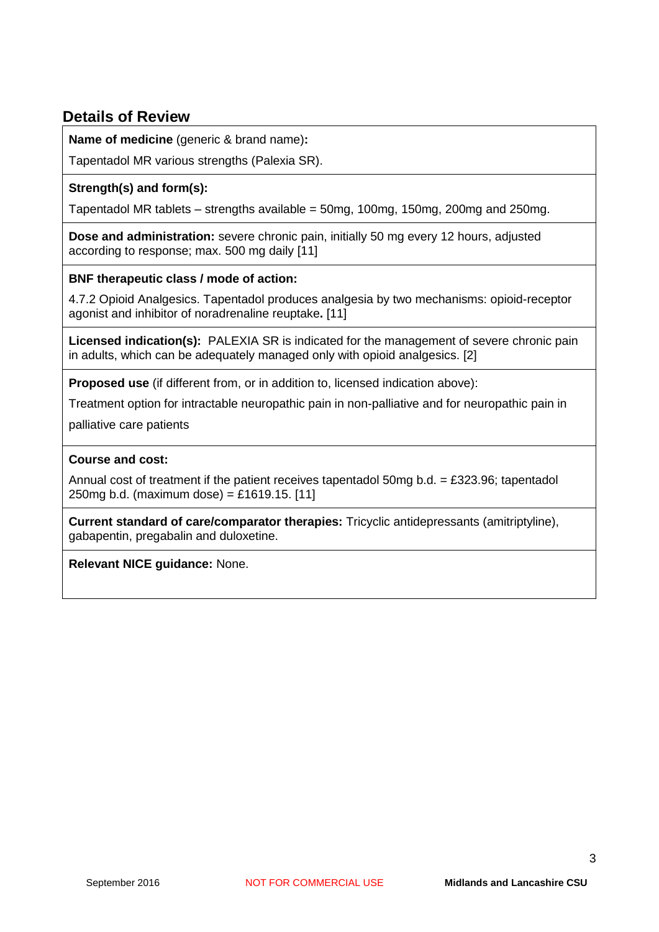# **Details of Review**

**Name of medicine** (generic & brand name)**:** 

Tapentadol MR various strengths (Palexia SR).

# **Strength(s) and form(s):**

Tapentadol MR tablets – strengths available = 50mg, 100mg, 150mg, 200mg and 250mg.

**Dose and administration:** severe chronic pain, initially 50 mg every 12 hours, adjusted according to response; max. 500 mg daily [11]

# **BNF therapeutic class / mode of action:**

4.7.2 Opioid Analgesics. Tapentadol produces analgesia by two mechanisms: opioid-receptor agonist and inhibitor of noradrenaline reuptake**.** [11]

**Licensed indication(s):** PALEXIA SR is indicated for the management of severe chronic pain in adults, which can be adequately managed only with opioid analgesics. [2]

**Proposed use** (if different from, or in addition to, licensed indication above):

Treatment option for intractable neuropathic pain in non-palliative and for neuropathic pain in

palliative care patients

#### **Course and cost:**

Annual cost of treatment if the patient receives tapentadol 50mg b.d. = £323.96; tapentadol 250mg b.d. (maximum dose) = £1619.15. [11]

**Current standard of care/comparator therapies:** Tricyclic antidepressants (amitriptyline), gabapentin, pregabalin and duloxetine.

**Relevant NICE guidance:** None.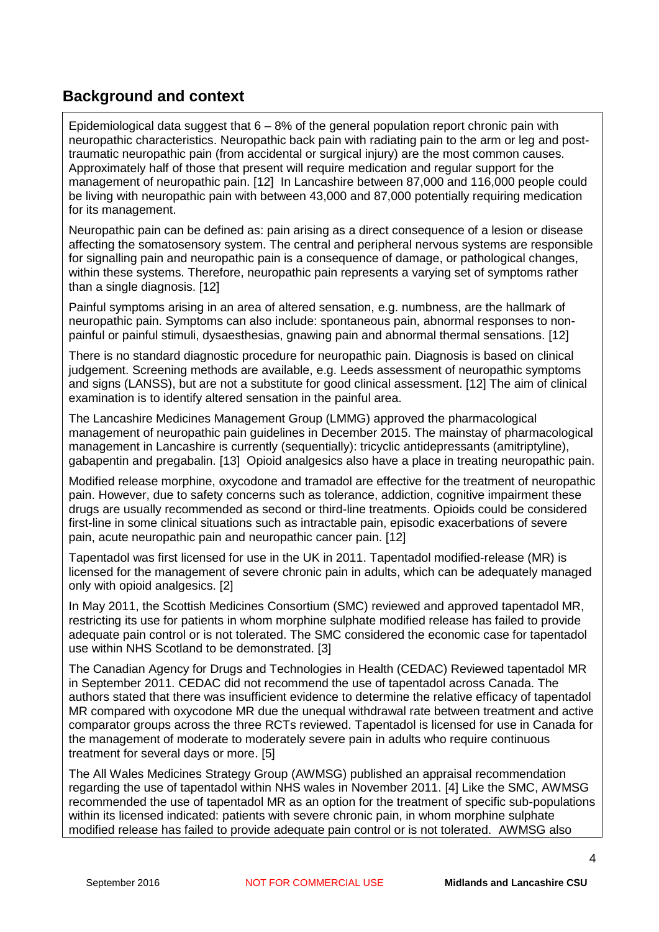# **Background and context**

Epidemiological data suggest that  $6 - 8%$  of the general population report chronic pain with neuropathic characteristics. Neuropathic back pain with radiating pain to the arm or leg and posttraumatic neuropathic pain (from accidental or surgical injury) are the most common causes. Approximately half of those that present will require medication and regular support for the management of neuropathic pain. [12] In Lancashire between 87,000 and 116,000 people could be living with neuropathic pain with between 43,000 and 87,000 potentially requiring medication for its management.

Neuropathic pain can be defined as: pain arising as a direct consequence of a lesion or disease affecting the somatosensory system. The central and peripheral nervous systems are responsible for signalling pain and neuropathic pain is a consequence of damage, or pathological changes, within these systems. Therefore, neuropathic pain represents a varying set of symptoms rather than a single diagnosis. [12]

Painful symptoms arising in an area of altered sensation, e.g. numbness, are the hallmark of neuropathic pain. Symptoms can also include: spontaneous pain, abnormal responses to nonpainful or painful stimuli, dysaesthesias, gnawing pain and abnormal thermal sensations. [12]

There is no standard diagnostic procedure for neuropathic pain. Diagnosis is based on clinical judgement. Screening methods are available, e.g. Leeds assessment of neuropathic symptoms and signs (LANSS), but are not a substitute for good clinical assessment. [12] The aim of clinical examination is to identify altered sensation in the painful area.

The Lancashire Medicines Management Group (LMMG) approved the pharmacological management of neuropathic pain guidelines in December 2015. The mainstay of pharmacological management in Lancashire is currently (sequentially): tricyclic antidepressants (amitriptyline), gabapentin and pregabalin. [13] Opioid analgesics also have a place in treating neuropathic pain.

Modified release morphine, oxycodone and tramadol are effective for the treatment of neuropathic pain. However, due to safety concerns such as tolerance, addiction, cognitive impairment these drugs are usually recommended as second or third-line treatments. Opioids could be considered first-line in some clinical situations such as intractable pain, episodic exacerbations of severe pain, acute neuropathic pain and neuropathic cancer pain. [12]

Tapentadol was first licensed for use in the UK in 2011. Tapentadol modified-release (MR) is licensed for the management of severe chronic pain in adults, which can be adequately managed only with opioid analgesics. [2]

In May 2011, the Scottish Medicines Consortium (SMC) reviewed and approved tapentadol MR, restricting its use for patients in whom morphine sulphate modified release has failed to provide adequate pain control or is not tolerated. The SMC considered the economic case for tapentadol use within NHS Scotland to be demonstrated. [3]

The Canadian Agency for Drugs and Technologies in Health (CEDAC) Reviewed tapentadol MR in September 2011. CEDAC did not recommend the use of tapentadol across Canada. The authors stated that there was insufficient evidence to determine the relative efficacy of tapentadol MR compared with oxycodone MR due the unequal withdrawal rate between treatment and active comparator groups across the three RCTs reviewed. Tapentadol is licensed for use in Canada for the management of moderate to moderately severe pain in adults who require continuous treatment for several days or more. [5]

The All Wales Medicines Strategy Group (AWMSG) published an appraisal recommendation regarding the use of tapentadol within NHS wales in November 2011. [4] Like the SMC, AWMSG recommended the use of tapentadol MR as an option for the treatment of specific sub-populations within its licensed indicated: patients with severe chronic pain, in whom morphine sulphate modified release has failed to provide adequate pain control or is not tolerated. AWMSG also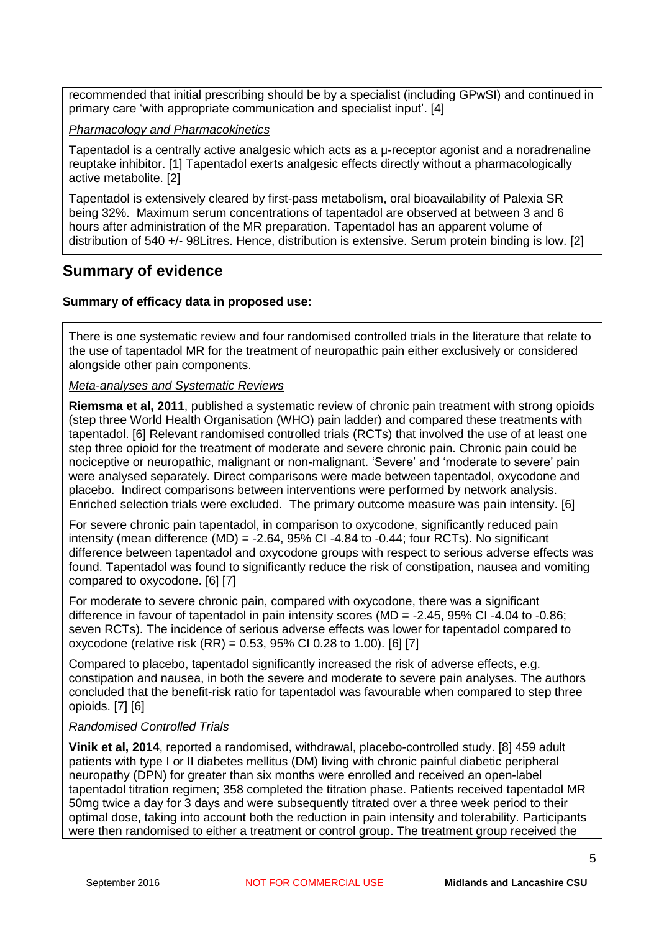recommended that initial prescribing should be by a specialist (including GPwSI) and continued in primary care 'with appropriate communication and specialist input'. [4]

*Pharmacology and Pharmacokinetics*

Tapentadol is a centrally active analgesic which acts as a μ-receptor agonist and a noradrenaline reuptake inhibitor. [1] Tapentadol exerts analgesic effects directly without a pharmacologically active metabolite. [2]

Tapentadol is extensively cleared by first-pass metabolism, oral bioavailability of Palexia SR being 32%. Maximum serum concentrations of tapentadol are observed at between 3 and 6 hours after administration of the MR preparation. Tapentadol has an apparent volume of distribution of 540 +/- 98Litres. Hence, distribution is extensive. Serum protein binding is low. [2]

# **Summary of evidence**

#### **Summary of efficacy data in proposed use:**

There is one systematic review and four randomised controlled trials in the literature that relate to the use of tapentadol MR for the treatment of neuropathic pain either exclusively or considered alongside other pain components.

*Meta-analyses and Systematic Reviews*

**Riemsma et al, 2011**, published a systematic review of chronic pain treatment with strong opioids (step three World Health Organisation (WHO) pain ladder) and compared these treatments with tapentadol. [6] Relevant randomised controlled trials (RCTs) that involved the use of at least one step three opioid for the treatment of moderate and severe chronic pain. Chronic pain could be nociceptive or neuropathic, malignant or non-malignant. 'Severe' and 'moderate to severe' pain were analysed separately. Direct comparisons were made between tapentadol, oxycodone and placebo. Indirect comparisons between interventions were performed by network analysis. Enriched selection trials were excluded. The primary outcome measure was pain intensity. [6]

For severe chronic pain tapentadol, in comparison to oxycodone, significantly reduced pain intensity (mean difference  $(MD) = -2.64$ , 95% CI -4.84 to -0.44; four RCTs). No significant difference between tapentadol and oxycodone groups with respect to serious adverse effects was found. Tapentadol was found to significantly reduce the risk of constipation, nausea and vomiting compared to oxycodone. [6] [7]

For moderate to severe chronic pain, compared with oxycodone, there was a significant difference in favour of tapentadol in pain intensity scores (MD = -2.45, 95% CI -4.04 to -0.86; seven RCTs). The incidence of serious adverse effects was lower for tapentadol compared to oxycodone (relative risk  $(RR) = 0.53$ , 95% CI 0.28 to 1.00). [6] [7]

Compared to placebo, tapentadol significantly increased the risk of adverse effects, e.g. constipation and nausea, in both the severe and moderate to severe pain analyses. The authors concluded that the benefit-risk ratio for tapentadol was favourable when compared to step three opioids. [7] [6]

#### *Randomised Controlled Trials*

**Vinik et al, 2014**, reported a randomised, withdrawal, placebo-controlled study. [8] 459 adult patients with type I or II diabetes mellitus (DM) living with chronic painful diabetic peripheral neuropathy (DPN) for greater than six months were enrolled and received an open-label tapentadol titration regimen; 358 completed the titration phase. Patients received tapentadol MR 50mg twice a day for 3 days and were subsequently titrated over a three week period to their optimal dose, taking into account both the reduction in pain intensity and tolerability. Participants were then randomised to either a treatment or control group. The treatment group received the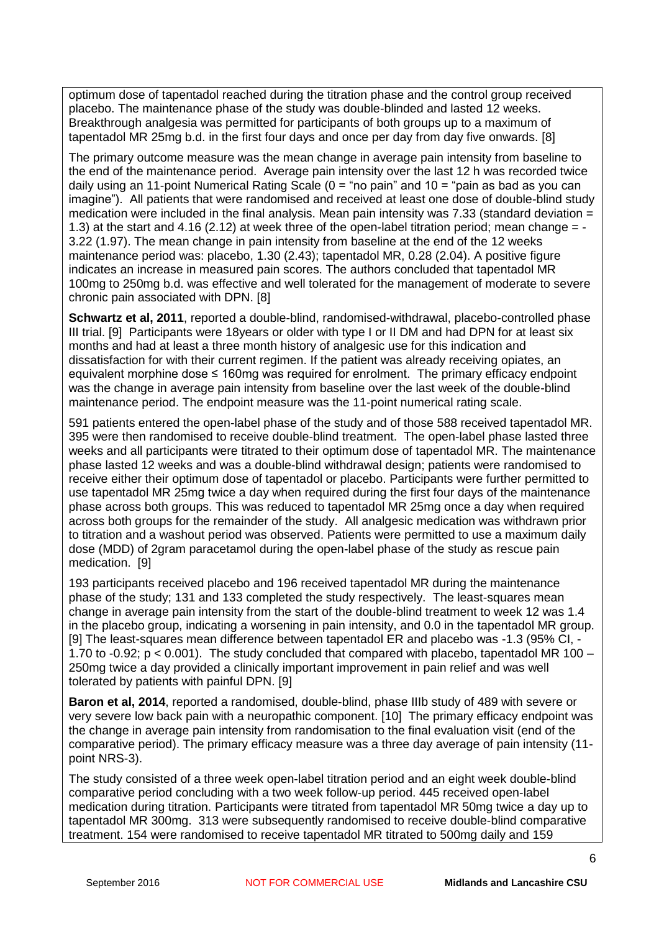optimum dose of tapentadol reached during the titration phase and the control group received placebo. The maintenance phase of the study was double-blinded and lasted 12 weeks. Breakthrough analgesia was permitted for participants of both groups up to a maximum of tapentadol MR 25mg b.d. in the first four days and once per day from day five onwards. [8]

The primary outcome measure was the mean change in average pain intensity from baseline to the end of the maintenance period. Average pain intensity over the last 12 h was recorded twice daily using an 11-point Numerical Rating Scale (0 = "no pain" and 10 = "pain as bad as you can imagine"). All patients that were randomised and received at least one dose of double-blind study medication were included in the final analysis. Mean pain intensity was 7.33 (standard deviation = 1.3) at the start and 4.16 (2.12) at week three of the open-label titration period; mean change = - 3.22 (1.97). The mean change in pain intensity from baseline at the end of the 12 weeks maintenance period was: placebo, 1.30 (2.43); tapentadol MR, 0.28 (2.04). A positive figure indicates an increase in measured pain scores. The authors concluded that tapentadol MR 100mg to 250mg b.d. was effective and well tolerated for the management of moderate to severe chronic pain associated with DPN. [8]

**Schwartz et al, 2011**, reported a double-blind, randomised-withdrawal, placebo-controlled phase III trial. [9] Participants were 18years or older with type I or II DM and had DPN for at least six months and had at least a three month history of analgesic use for this indication and dissatisfaction for with their current regimen. If the patient was already receiving opiates, an equivalent morphine dose ≤ 160mg was required for enrolment. The primary efficacy endpoint was the change in average pain intensity from baseline over the last week of the double-blind maintenance period. The endpoint measure was the 11-point numerical rating scale.

591 patients entered the open-label phase of the study and of those 588 received tapentadol MR. 395 were then randomised to receive double-blind treatment. The open-label phase lasted three weeks and all participants were titrated to their optimum dose of tapentadol MR. The maintenance phase lasted 12 weeks and was a double-blind withdrawal design; patients were randomised to receive either their optimum dose of tapentadol or placebo. Participants were further permitted to use tapentadol MR 25mg twice a day when required during the first four days of the maintenance phase across both groups. This was reduced to tapentadol MR 25mg once a day when required across both groups for the remainder of the study. All analgesic medication was withdrawn prior to titration and a washout period was observed. Patients were permitted to use a maximum daily dose (MDD) of 2gram paracetamol during the open-label phase of the study as rescue pain medication. [9]

193 participants received placebo and 196 received tapentadol MR during the maintenance phase of the study; 131 and 133 completed the study respectively. The least-squares mean change in average pain intensity from the start of the double-blind treatment to week 12 was 1.4 in the placebo group, indicating a worsening in pain intensity, and 0.0 in the tapentadol MR group. [9] The least-squares mean difference between tapentadol ER and placebo was -1.3 (95% CI, - 1.70 to -0.92; p < 0.001). The study concluded that compared with placebo, tapentadol MR 100 – 250mg twice a day provided a clinically important improvement in pain relief and was well tolerated by patients with painful DPN. [9]

**Baron et al, 2014**, reported a randomised, double-blind, phase IIIb study of 489 with severe or very severe low back pain with a neuropathic component. [10] The primary efficacy endpoint was the change in average pain intensity from randomisation to the final evaluation visit (end of the comparative period). The primary efficacy measure was a three day average of pain intensity (11 point NRS-3).

The study consisted of a three week open-label titration period and an eight week double-blind comparative period concluding with a two week follow-up period. 445 received open-label medication during titration. Participants were titrated from tapentadol MR 50mg twice a day up to tapentadol MR 300mg. 313 were subsequently randomised to receive double-blind comparative treatment. 154 were randomised to receive tapentadol MR titrated to 500mg daily and 159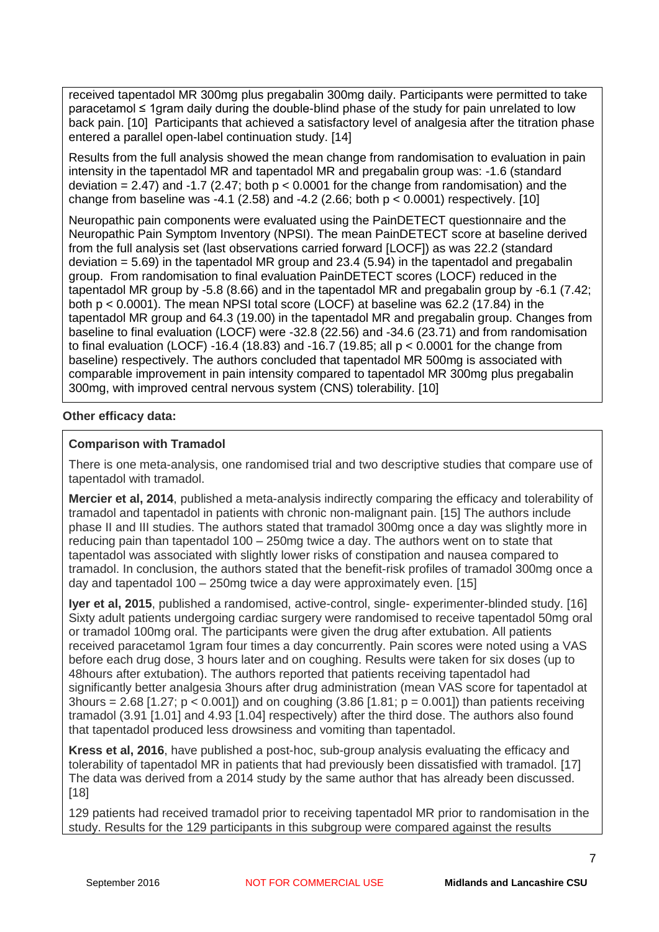received tapentadol MR 300mg plus pregabalin 300mg daily. Participants were permitted to take paracetamol ≤ 1gram daily during the double-blind phase of the study for pain unrelated to low back pain. [10] Participants that achieved a satisfactory level of analgesia after the titration phase entered a parallel open-label continuation study. [14]

Results from the full analysis showed the mean change from randomisation to evaluation in pain intensity in the tapentadol MR and tapentadol MR and pregabalin group was: -1.6 (standard deviation = 2.47) and -1.7 (2.47; both  $p < 0.0001$  for the change from randomisation) and the change from baseline was -4.1 (2.58) and -4.2 (2.66; both  $p < 0.0001$ ) respectively. [10]

Neuropathic pain components were evaluated using the PainDETECT questionnaire and the Neuropathic Pain Symptom Inventory (NPSI). The mean PainDETECT score at baseline derived from the full analysis set (last observations carried forward [LOCF]) as was 22.2 (standard deviation = 5.69) in the tapentadol MR group and 23.4 (5.94) in the tapentadol and pregabalin group. From randomisation to final evaluation PainDETECT scores (LOCF) reduced in the tapentadol MR group by -5.8 (8.66) and in the tapentadol MR and pregabalin group by -6.1 (7.42; both p < 0.0001). The mean NPSI total score (LOCF) at baseline was 62.2 (17.84) in the tapentadol MR group and 64.3 (19.00) in the tapentadol MR and pregabalin group. Changes from baseline to final evaluation (LOCF) were -32.8 (22.56) and -34.6 (23.71) and from randomisation to final evaluation (LOCF) -16.4 (18.83) and -16.7 (19.85; all  $p < 0.0001$  for the change from baseline) respectively. The authors concluded that tapentadol MR 500mg is associated with comparable improvement in pain intensity compared to tapentadol MR 300mg plus pregabalin 300mg, with improved central nervous system (CNS) tolerability. [10]

# **Other efficacy data:**

#### **Comparison with Tramadol**

There is one meta-analysis, one randomised trial and two descriptive studies that compare use of tapentadol with tramadol.

**Mercier et al, 2014**, published a meta-analysis indirectly comparing the efficacy and tolerability of tramadol and tapentadol in patients with chronic non-malignant pain. [15] The authors include phase II and III studies. The authors stated that tramadol 300mg once a day was slightly more in reducing pain than tapentadol 100 – 250mg twice a day. The authors went on to state that tapentadol was associated with slightly lower risks of constipation and nausea compared to tramadol. In conclusion, the authors stated that the benefit-risk profiles of tramadol 300mg once a day and tapentadol 100 – 250mg twice a day were approximately even. [15]

**Iyer et al, 2015**, published a randomised, active-control, single- experimenter-blinded study. [16] Sixty adult patients undergoing cardiac surgery were randomised to receive tapentadol 50mg oral or tramadol 100mg oral. The participants were given the drug after extubation. All patients received paracetamol 1gram four times a day concurrently. Pain scores were noted using a VAS before each drug dose, 3 hours later and on coughing. Results were taken for six doses (up to 48hours after extubation). The authors reported that patients receiving tapentadol had significantly better analgesia 3hours after drug administration (mean VAS score for tapentadol at 3hours = 2.68 [1.27; p < 0.001]) and on coughing  $(3.86 \, 1.81; p = 0.001]$  than patients receiving tramadol (3.91 [1.01] and 4.93 [1.04] respectively) after the third dose. The authors also found that tapentadol produced less drowsiness and vomiting than tapentadol.

**Kress et al, 2016**, have published a post-hoc, sub-group analysis evaluating the efficacy and tolerability of tapentadol MR in patients that had previously been dissatisfied with tramadol. [17] The data was derived from a 2014 study by the same author that has already been discussed. [18]

129 patients had received tramadol prior to receiving tapentadol MR prior to randomisation in the study. Results for the 129 participants in this subgroup were compared against the results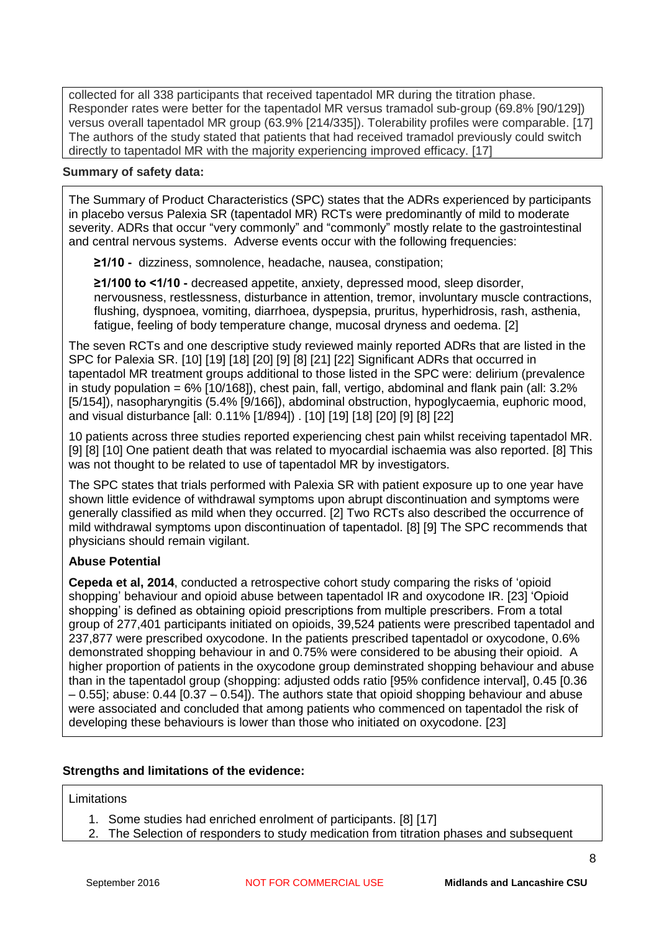collected for all 338 participants that received tapentadol MR during the titration phase. Responder rates were better for the tapentadol MR versus tramadol sub-group (69.8% [90/129]) versus overall tapentadol MR group (63.9% [214/335]). Tolerability profiles were comparable. [17] The authors of the study stated that patients that had received tramadol previously could switch directly to tapentadol MR with the majority experiencing improved efficacy. [17]

#### **Summary of safety data:**

The Summary of Product Characteristics (SPC) states that the ADRs experienced by participants in placebo versus Palexia SR (tapentadol MR) RCTs were predominantly of mild to moderate severity. ADRs that occur "very commonly" and "commonly" mostly relate to the gastrointestinal and central nervous systems. Adverse events occur with the following frequencies:

**≥1/10 -** dizziness, somnolence, headache, nausea, constipation;

**≥1/100 to <1/10 -** decreased appetite, anxiety, depressed mood, sleep disorder, nervousness, restlessness, disturbance in attention, tremor, involuntary muscle contractions, flushing, dyspnoea, vomiting, diarrhoea, dyspepsia, pruritus, hyperhidrosis, rash, asthenia, fatigue, feeling of body temperature change, mucosal dryness and oedema. [2]

The seven RCTs and one descriptive study reviewed mainly reported ADRs that are listed in the SPC for Palexia SR. [10] [19] [18] [20] [9] [8] [21] [22] Significant ADRs that occurred in tapentadol MR treatment groups additional to those listed in the SPC were: delirium (prevalence in study population =  $6\%$  [10/168]), chest pain, fall, vertigo, abdominal and flank pain (all: 3.2% [5/154]), nasopharyngitis (5.4% [9/166]), abdominal obstruction, hypoglycaemia, euphoric mood, and visual disturbance [all: 0.11% [1/894]) . [10] [19] [18] [20] [9] [8] [22]

10 patients across three studies reported experiencing chest pain whilst receiving tapentadol MR. [9] [8] [10] One patient death that was related to myocardial ischaemia was also reported. [8] This was not thought to be related to use of tapentadol MR by investigators.

The SPC states that trials performed with Palexia SR with patient exposure up to one year have shown little evidence of withdrawal symptoms upon abrupt discontinuation and symptoms were generally classified as mild when they occurred. [2] Two RCTs also described the occurrence of mild withdrawal symptoms upon discontinuation of tapentadol. [8] [9] The SPC recommends that physicians should remain vigilant.

# **Abuse Potential**

**Cepeda et al, 2014**, conducted a retrospective cohort study comparing the risks of 'opioid shopping' behaviour and opioid abuse between tapentadol IR and oxycodone IR. [23] 'Opioid shopping' is defined as obtaining opioid prescriptions from multiple prescribers. From a total group of 277,401 participants initiated on opioids, 39,524 patients were prescribed tapentadol and 237,877 were prescribed oxycodone. In the patients prescribed tapentadol or oxycodone, 0.6% demonstrated shopping behaviour in and 0.75% were considered to be abusing their opioid. A higher proportion of patients in the oxycodone group deminstrated shopping behaviour and abuse than in the tapentadol group (shopping: adjusted odds ratio [95% confidence interval], 0.45 [0.36 – 0.55]; abuse: 0.44 [0.37 – 0.54]). The authors state that opioid shopping behaviour and abuse were associated and concluded that among patients who commenced on tapentadol the risk of developing these behaviours is lower than those who initiated on oxycodone. [23]

# **Strengths and limitations of the evidence:**

#### **Limitations**

- 1. Some studies had enriched enrolment of participants. [8] [17]
- 2. The Selection of responders to study medication from titration phases and subsequent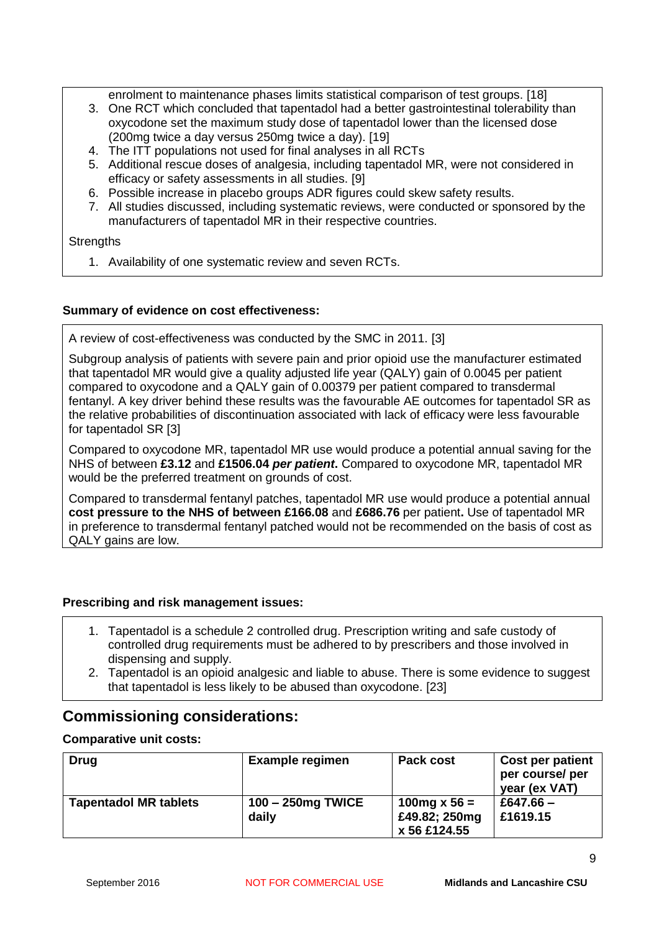enrolment to maintenance phases limits statistical comparison of test groups. [18]

- 3. One RCT which concluded that tapentadol had a better gastrointestinal tolerability than oxycodone set the maximum study dose of tapentadol lower than the licensed dose (200mg twice a day versus 250mg twice a day). [19]
- 4. The ITT populations not used for final analyses in all RCTs
- 5. Additional rescue doses of analgesia, including tapentadol MR, were not considered in efficacy or safety assessments in all studies. [9]
- 6. Possible increase in placebo groups ADR figures could skew safety results.
- 7. All studies discussed, including systematic reviews, were conducted or sponsored by the manufacturers of tapentadol MR in their respective countries.

#### **Strengths**

1. Availability of one systematic review and seven RCTs.

#### **Summary of evidence on cost effectiveness:**

A review of cost-effectiveness was conducted by the SMC in 2011. [3]

Subgroup analysis of patients with severe pain and prior opioid use the manufacturer estimated that tapentadol MR would give a quality adjusted life year (QALY) gain of 0.0045 per patient compared to oxycodone and a QALY gain of 0.00379 per patient compared to transdermal fentanyl. A key driver behind these results was the favourable AE outcomes for tapentadol SR as the relative probabilities of discontinuation associated with lack of efficacy were less favourable for tapentadol SR [3]

Compared to oxycodone MR, tapentadol MR use would produce a potential annual saving for the NHS of between **£3.12** and **£1506.04** *per patient***.** Compared to oxycodone MR, tapentadol MR would be the preferred treatment on grounds of cost.

Compared to transdermal fentanyl patches, tapentadol MR use would produce a potential annual **cost pressure to the NHS of between £166.08** and **£686.76** per patient**.** Use of tapentadol MR in preference to transdermal fentanyl patched would not be recommended on the basis of cost as QALY gains are low.

# **Prescribing and risk management issues:**

- 1. Tapentadol is a schedule 2 controlled drug. Prescription writing and safe custody of controlled drug requirements must be adhered to by prescribers and those involved in dispensing and supply.
- 2. Tapentadol is an opioid analgesic and liable to abuse. There is some evidence to suggest that tapentadol is less likely to be abused than oxycodone. [23]

# **Commissioning considerations:**

# **Comparative unit costs:**

| <b>Drug</b>                  | <b>Example regimen</b>     | Pack cost                                      | <b>Cost per patient</b><br>per course/ per<br>year (ex VAT) |
|------------------------------|----------------------------|------------------------------------------------|-------------------------------------------------------------|
| <b>Tapentadol MR tablets</b> | 100 - 250mg TWICE<br>daily | 100 mg x 56 =<br>£49.82; 250mg<br>x 56 £124.55 | £647.66 $-$<br>£1619.15                                     |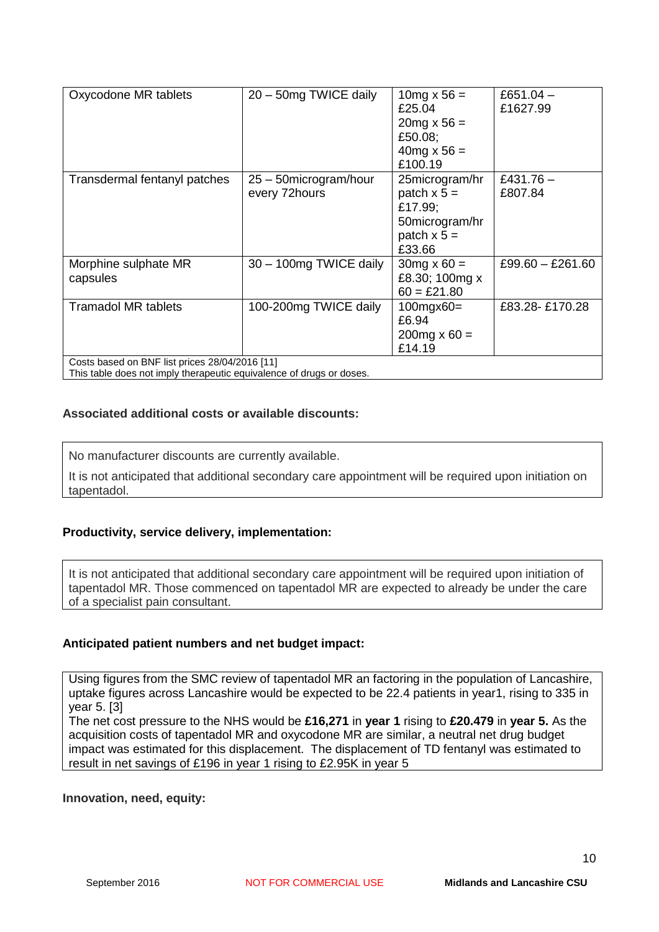| Oxycodone MR tablets                                                                                                   | 20 - 50mg TWICE daily                   | 10 mg $x 56 =$<br>£25.04<br>$20mg \times 56 =$<br>£50.08;<br>$40mg \times 56 =$<br>£100.19 | £651.04 $-$<br>£1627.99 |  |
|------------------------------------------------------------------------------------------------------------------------|-----------------------------------------|--------------------------------------------------------------------------------------------|-------------------------|--|
| Transdermal fentanyl patches                                                                                           | 25 – 50 microgram/hour<br>every 72hours | 25microgram/hr<br>patch $x 5 =$<br>£17.99;<br>50microgram/hr<br>patch $x 5 =$<br>£33.66    | £431.76 $-$<br>£807.84  |  |
| Morphine sulphate MR<br>capsules                                                                                       | 30 - 100mg TWICE daily                  | $30mg \times 60 =$<br>£8.30; 100mg x<br>$60 = £21.80$                                      | $£99.60 - £261.60$      |  |
| <b>Tramadol MR tablets</b>                                                                                             | 100-200mg TWICE daily                   | $100$ mgx $60=$<br>£6.94<br>$200mg \times 60 =$<br>£14.19                                  | £83.28-£170.28          |  |
| Costs based on BNF list prices 28/04/2016 [11]<br>This table does not imply therapeutic equivalence of drugs or doses. |                                         |                                                                                            |                         |  |

# **Associated additional costs or available discounts:**

No manufacturer discounts are currently available.

It is not anticipated that additional secondary care appointment will be required upon initiation on tapentadol.

# **Productivity, service delivery, implementation:**

It is not anticipated that additional secondary care appointment will be required upon initiation of tapentadol MR. Those commenced on tapentadol MR are expected to already be under the care of a specialist pain consultant.

#### **Anticipated patient numbers and net budget impact:**

Using figures from the SMC review of tapentadol MR an factoring in the population of Lancashire, uptake figures across Lancashire would be expected to be 22.4 patients in year1, rising to 335 in year 5. [3]

The net cost pressure to the NHS would be **£16,271** in **year 1** rising to **£20.479** in **year 5.** As the acquisition costs of tapentadol MR and oxycodone MR are similar, a neutral net drug budget impact was estimated for this displacement. The displacement of TD fentanyl was estimated to result in net savings of £196 in year 1 rising to £2.95K in year 5

**Innovation, need, equity:**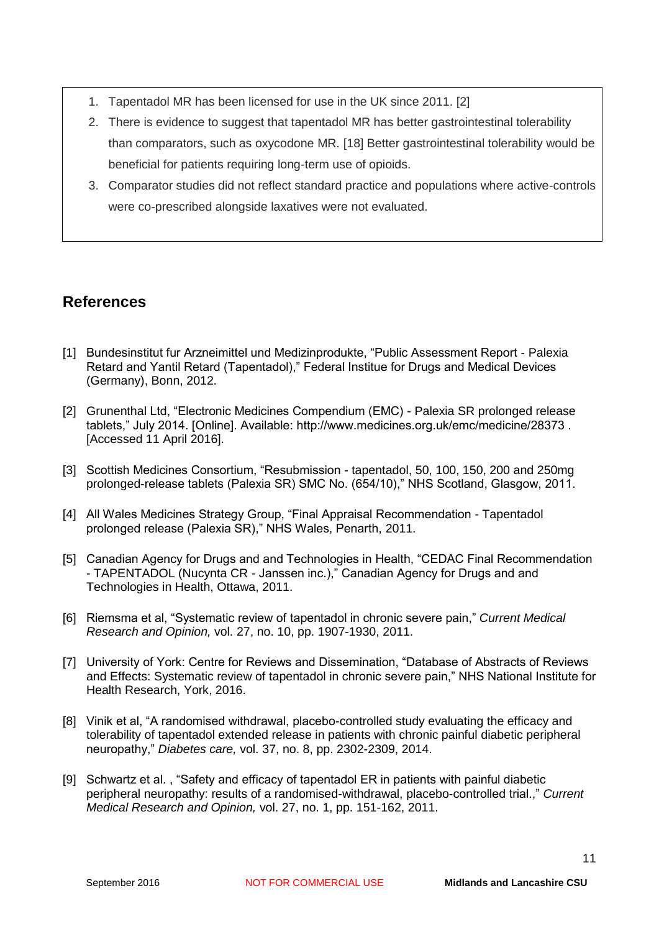- 1. Tapentadol MR has been licensed for use in the UK since 2011. [2]
- 2. There is evidence to suggest that tapentadol MR has better gastrointestinal tolerability than comparators, such as oxycodone MR. [18] Better gastrointestinal tolerability would be beneficial for patients requiring long-term use of opioids.
- 3. Comparator studies did not reflect standard practice and populations where active-controls were co-prescribed alongside laxatives were not evaluated.

# **References**

- [1] Bundesinstitut fur Arzneimittel und Medizinprodukte, "Public Assessment Report Palexia Retard and Yantil Retard (Tapentadol)," Federal Institue for Drugs and Medical Devices (Germany), Bonn, 2012.
- [2] Grunenthal Ltd, "Electronic Medicines Compendium (EMC) Palexia SR prolonged release tablets," July 2014. [Online]. Available: http://www.medicines.org.uk/emc/medicine/28373 . [Accessed 11 April 2016].
- [3] Scottish Medicines Consortium, "Resubmission tapentadol, 50, 100, 150, 200 and 250mg prolonged-release tablets (Palexia SR) SMC No. (654/10)," NHS Scotland, Glasgow, 2011.
- [4] All Wales Medicines Strategy Group, "Final Appraisal Recommendation Tapentadol prolonged release (Palexia SR)," NHS Wales, Penarth, 2011.
- [5] Canadian Agency for Drugs and and Technologies in Health, "CEDAC Final Recommendation - TAPENTADOL (Nucynta CR - Janssen inc.)," Canadian Agency for Drugs and and Technologies in Health, Ottawa, 2011.
- [6] Riemsma et al, "Systematic review of tapentadol in chronic severe pain," *Current Medical Research and Opinion,* vol. 27, no. 10, pp. 1907-1930, 2011.
- [7] University of York: Centre for Reviews and Dissemination, "Database of Abstracts of Reviews and Effects: Systematic review of tapentadol in chronic severe pain," NHS National Institute for Health Research, York, 2016.
- [8] Vinik et al, "A randomised withdrawal, placebo-controlled study evaluating the efficacy and tolerability of tapentadol extended release in patients with chronic painful diabetic peripheral neuropathy," *Diabetes care,* vol. 37, no. 8, pp. 2302-2309, 2014.
- [9] Schwartz et al. , "Safety and efficacy of tapentadol ER in patients with painful diabetic peripheral neuropathy: results of a randomised-withdrawal, placebo-controlled trial.," *Current Medical Research and Opinion,* vol. 27, no. 1, pp. 151-162, 2011.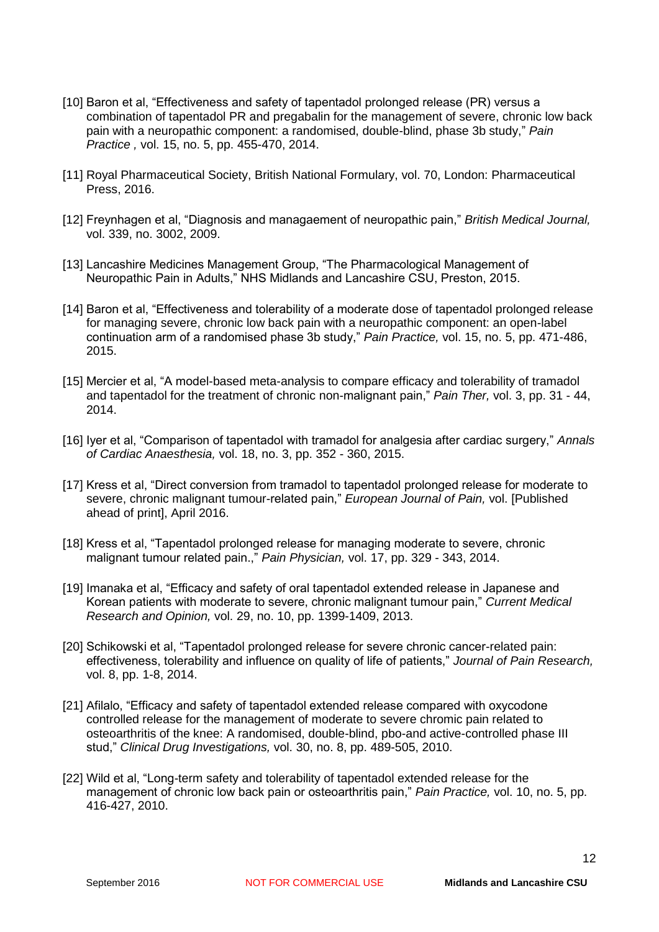- [10] Baron et al, "Effectiveness and safety of tapentadol prolonged release (PR) versus a combination of tapentadol PR and pregabalin for the management of severe, chronic low back pain with a neuropathic component: a randomised, double-blind, phase 3b study," *Pain Practice ,* vol. 15, no. 5, pp. 455-470, 2014.
- [11] Royal Pharmaceutical Society, British National Formulary, vol. 70, London: Pharmaceutical Press, 2016.
- [12] Freynhagen et al, "Diagnosis and managaement of neuropathic pain," *British Medical Journal,*  vol. 339, no. 3002, 2009.
- [13] Lancashire Medicines Management Group, "The Pharmacological Management of Neuropathic Pain in Adults," NHS Midlands and Lancashire CSU, Preston, 2015.
- [14] Baron et al, "Effectiveness and tolerability of a moderate dose of tapentadol prolonged release for managing severe, chronic low back pain with a neuropathic component: an open-label continuation arm of a randomised phase 3b study," *Pain Practice,* vol. 15, no. 5, pp. 471-486, 2015.
- [15] Mercier et al, "A model-based meta-analysis to compare efficacy and tolerability of tramadol and tapentadol for the treatment of chronic non-malignant pain," *Pain Ther,* vol. 3, pp. 31 - 44, 2014.
- [16] Iyer et al, "Comparison of tapentadol with tramadol for analgesia after cardiac surgery," *Annals of Cardiac Anaesthesia,* vol. 18, no. 3, pp. 352 - 360, 2015.
- [17] Kress et al, "Direct conversion from tramadol to tapentadol prolonged release for moderate to severe, chronic malignant tumour-related pain," *European Journal of Pain,* vol. [Published ahead of print], April 2016.
- [18] Kress et al, "Tapentadol prolonged release for managing moderate to severe, chronic malignant tumour related pain.," *Pain Physician,* vol. 17, pp. 329 - 343, 2014.
- [19] Imanaka et al, "Efficacy and safety of oral tapentadol extended release in Japanese and Korean patients with moderate to severe, chronic malignant tumour pain," *Current Medical Research and Opinion,* vol. 29, no. 10, pp. 1399-1409, 2013.
- [20] Schikowski et al, "Tapentadol prolonged release for severe chronic cancer-related pain: effectiveness, tolerability and influence on quality of life of patients," *Journal of Pain Research,*  vol. 8, pp. 1-8, 2014.
- [21] Afilalo, "Efficacy and safety of tapentadol extended release compared with oxycodone controlled release for the management of moderate to severe chromic pain related to osteoarthritis of the knee: A randomised, double-blind, pbo-and active-controlled phase III stud," *Clinical Drug Investigations,* vol. 30, no. 8, pp. 489-505, 2010.
- [22] Wild et al, "Long-term safety and tolerability of tapentadol extended release for the management of chronic low back pain or osteoarthritis pain," *Pain Practice,* vol. 10, no. 5, pp. 416-427, 2010.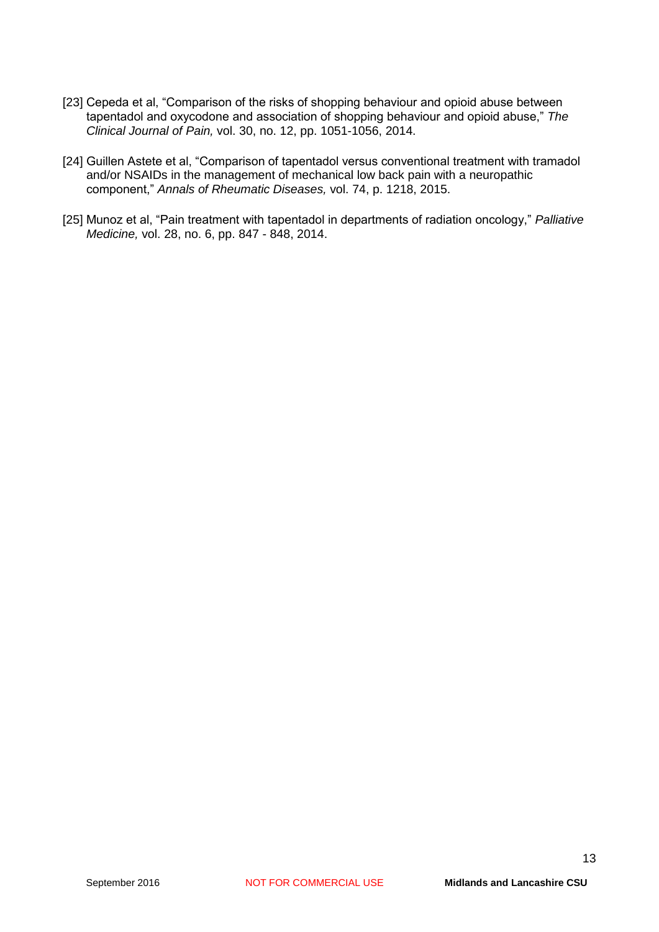- [23] Cepeda et al, "Comparison of the risks of shopping behaviour and opioid abuse between tapentadol and oxycodone and association of shopping behaviour and opioid abuse," *The Clinical Journal of Pain,* vol. 30, no. 12, pp. 1051-1056, 2014.
- [24] Guillen Astete et al, "Comparison of tapentadol versus conventional treatment with tramadol and/or NSAIDs in the management of mechanical low back pain with a neuropathic component," *Annals of Rheumatic Diseases,* vol. 74, p. 1218, 2015.
- [25] Munoz et al, "Pain treatment with tapentadol in departments of radiation oncology," *Palliative Medicine,* vol. 28, no. 6, pp. 847 - 848, 2014.